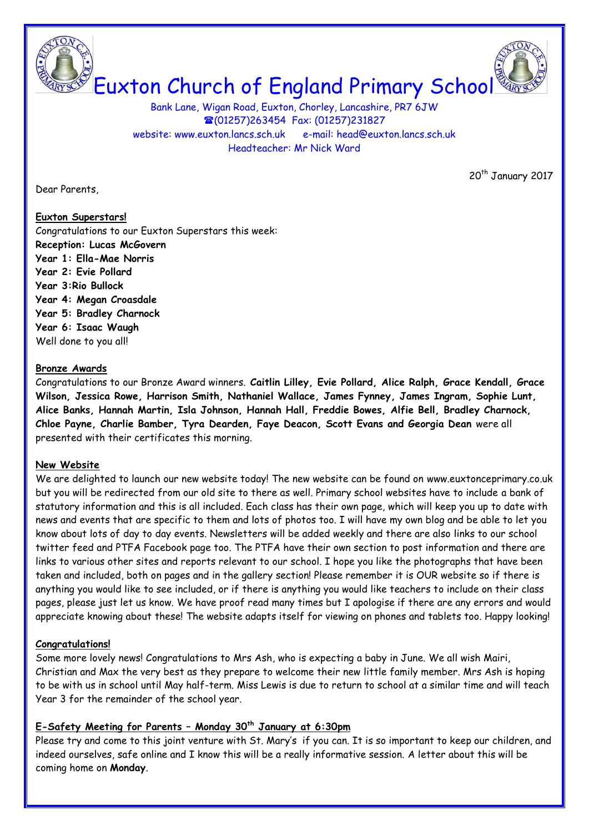Euxton Church of England Primary School

Bank Lane, Wigan Road, Euxton, Chorley, Lancashire, PR7 6JW (01257)263454 Fax: (01257)231827 website: [www.euxton.lancs.sch.uk](http://www.euxton.lancs.sch.uk/) e-mail: [head@euxton.lancs.sch.uk](mailto:head@euxton.lancs.sch.uk) Headteacher: Mr Nick Ward

Dear Parents,

20<sup>th</sup> January 2017

#### **Euxton Superstars!**

Congratulations to our Euxton Superstars this week: **Reception: Lucas McGovern Year 1: Ella-Mae Norris Year 2: Evie Pollard Year 3:Rio Bullock Year 4: Megan Croasdale Year 5: Bradley Charnock Year 6: Isaac Waugh** Well done to you all!

#### **Bronze Awards**

Congratulations to our Bronze Award winners. **Caitlin Lilley, Evie Pollard, Alice Ralph, Grace Kendall, Grace Wilson, Jessica Rowe, Harrison Smith, Nathaniel Wallace, James Fynney, James Ingram, Sophie Lunt, Alice Banks, Hannah Martin, Isla Johnson, Hannah Hall, Freddie Bowes, Alfie Bell, Bradley Charnock, Chloe Payne, Charlie Bamber, Tyra Dearden, Faye Deacon, Scott Evans and Georgia Dean** were all presented with their certificates this morning.

#### **New Website**

We are delighted to launch our new website today! The new website can be found on www.euxtonceprimary.co.uk but you will be redirected from our old site to there as well. Primary school websites have to include a bank of statutory information and this is all included. Each class has their own page, which will keep you up to date with news and events that are specific to them and lots of photos too. I will have my own blog and be able to let you know about lots of day to day events. Newsletters will be added weekly and there are also links to our school twitter feed and PTFA Facebook page too. The PTFA have their own section to post information and there are links to various other sites and reports relevant to our school. I hope you like the photographs that have been taken and included, both on pages and in the gallery section! Please remember it is OUR website so if there is anything you would like to see included, or if there is anything you would like teachers to include on their class pages, please just let us know. We have proof read many times but I apologise if there are any errors and would appreciate knowing about these! The website adapts itself for viewing on phones and tablets too. Happy looking!

## **Congratulations!**

Some more lovely news! Congratulations to Mrs Ash, who is expecting a baby in June. We all wish Mairi, Christian and Max the very best as they prepare to welcome their new little family member. Mrs Ash is hoping to be with us in school until May half-term. Miss Lewis is due to return to school at a similar time and will teach Year 3 for the remainder of the school year.

## **E-Safety Meeting for Parents – Monday 30th January at 6:30pm**

Please try and come to this joint venture with St. Mary's if you can. It is so important to keep our children, and indeed ourselves, safe online and I know this will be a really informative session. A letter about this will be coming home on **Monday**.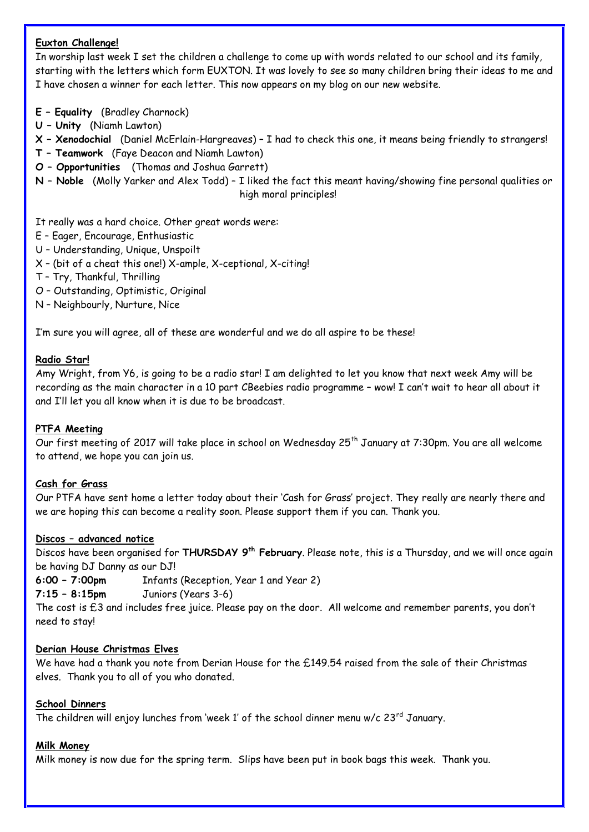## **Euxton Challenge!**

In worship last week I set the children a challenge to come up with words related to our school and its family, starting with the letters which form EUXTON. It was lovely to see so many children bring their ideas to me and I have chosen a winner for each letter. This now appears on my blog on our new website.

- **E – Equality** (Bradley Charnock)
- **U – Unity** (Niamh Lawton)
- **X – Xenodochial** (Daniel McErlain-Hargreaves) I had to check this one, it means being friendly to strangers!
- **T – Teamwork** (Faye Deacon and Niamh Lawton)
- **O – Opportunities** (Thomas and Joshua Garrett)
- **N – Noble** (Molly Yarker and Alex Todd) I liked the fact this meant having/showing fine personal qualities or high moral principles!

It really was a hard choice. Other great words were:

- E Eager, Encourage, Enthusiastic
- U Understanding, Unique, Unspoilt
- X (bit of a cheat this one!) X-ample, X-ceptional, X-citing!
- T Try, Thankful, Thrilling
- O Outstanding, Optimistic, Original
- N Neighbourly, Nurture, Nice

I'm sure you will agree, all of these are wonderful and we do all aspire to be these!

#### **Radio Star!**

Amy Wright, from Y6, is going to be a radio star! I am delighted to let you know that next week Amy will be recording as the main character in a 10 part CBeebies radio programme – wow! I can't wait to hear all about it and I'll let you all know when it is due to be broadcast.

#### **PTFA Meeting**

Our first meeting of 2017 will take place in school on Wednesday 25<sup>th</sup> January at 7:30pm. You are all welcome to attend, we hope you can join us.

#### **Cash for Grass**

Our PTFA have sent home a letter today about their 'Cash for Grass' project. They really are nearly there and we are hoping this can become a reality soon. Please support them if you can. Thank you.

#### **Discos – advanced notice**

Discos have been organised for **THURSDAY 9th February**. Please note, this is a Thursday, and we will once again be having DJ Danny as our DJ!

**6:00 – 7:00pm** Infants (Reception, Year 1 and Year 2)

**7:15 – 8:15pm** Juniors (Years 3-6)

The cost is £3 and includes free juice. Please pay on the door. All welcome and remember parents, you don't need to stay!

## **Derian House Christmas Elves**

We have had a thank you note from Derian House for the £149.54 raised from the sale of their Christmas elves. Thank you to all of you who donated.

#### **School Dinners**

The children will enjoy lunches from 'week 1' of the school dinner menu w/c  $23^{rd}$  January.

#### **Milk Money**

Milk money is now due for the spring term. Slips have been put in book bags this week. Thank you.